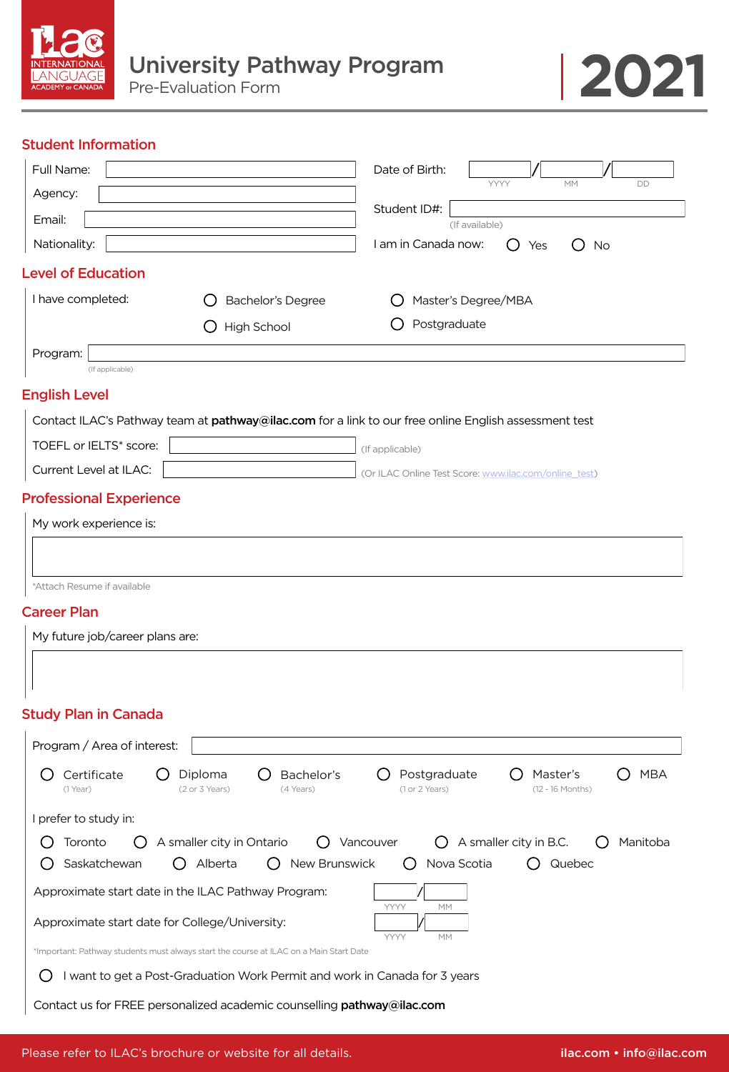

## Student Information

| Full Name:                                                                           |                                                                                                       | Date of Birth:                                           |                                              |
|--------------------------------------------------------------------------------------|-------------------------------------------------------------------------------------------------------|----------------------------------------------------------|----------------------------------------------|
| Agency:                                                                              |                                                                                                       |                                                          | YYYY<br>DD<br>MM                             |
| Email:                                                                               |                                                                                                       | Student ID#:<br>(If available)                           |                                              |
| Nationality:                                                                         |                                                                                                       | I am in Canada now:                                      | No<br>Yes                                    |
| <b>Level of Education</b>                                                            |                                                                                                       |                                                          |                                              |
| I have completed:                                                                    | Bachelor's Degree                                                                                     | Master's Degree/MBA                                      |                                              |
|                                                                                      | High School                                                                                           | Postgraduate                                             |                                              |
| Program:<br>(If applicable)                                                          |                                                                                                       |                                                          |                                              |
| <b>English Level</b>                                                                 |                                                                                                       |                                                          |                                              |
|                                                                                      | Contact ILAC's Pathway team at pathway@ilac.com for a link to our free online English assessment test |                                                          |                                              |
| TOEFL or IELTS* score:                                                               |                                                                                                       | (If applicable)                                          |                                              |
| Current Level at ILAC:                                                               |                                                                                                       | (Or ILAC Online Test Score: www.ilac.com/online_test)    |                                              |
| <b>Professional Experience</b>                                                       |                                                                                                       |                                                          |                                              |
| My work experience is:                                                               |                                                                                                       |                                                          |                                              |
| *Attach Resume if available<br><b>Career Plan</b><br>My future job/career plans are: |                                                                                                       |                                                          |                                              |
| <b>Study Plan in Canada</b><br>Program / Area of interest:                           |                                                                                                       |                                                          |                                              |
| Certificate<br>$(1$ Year)                                                            | Bachelor's<br>Diploma<br>(2 or 3 Years)<br>(4 Years)                                                  | Postgraduate<br>( )<br>(1 or 2 Years)                    | <b>MBA</b><br>Master's<br>(12 - 16 Months)   |
| I prefer to study in:                                                                |                                                                                                       |                                                          |                                              |
| Toronto<br>Saskatchewan                                                              | A smaller city in Ontario<br>Alberta<br>New Brunswick<br>( )                                          | Vancouver<br>$\left( \quad \right)$<br>Nova Scotia<br>() | A smaller city in B.C.<br>Manitoba<br>Quebec |
|                                                                                      | Approximate start date in the ILAC Pathway Program:                                                   | YYYY<br>MM                                               |                                              |
| Approximate start date for College/University:                                       |                                                                                                       | YYYY<br>MM                                               |                                              |
|                                                                                      | *Important: Pathway students must always start the course at ILAC on a Main Start Date                |                                                          |                                              |
| ( )                                                                                  | I want to get a Post-Graduation Work Permit and work in Canada for 3 years                            |                                                          |                                              |

Contact us for FREE personalized academic counselling pathway@ilac.com